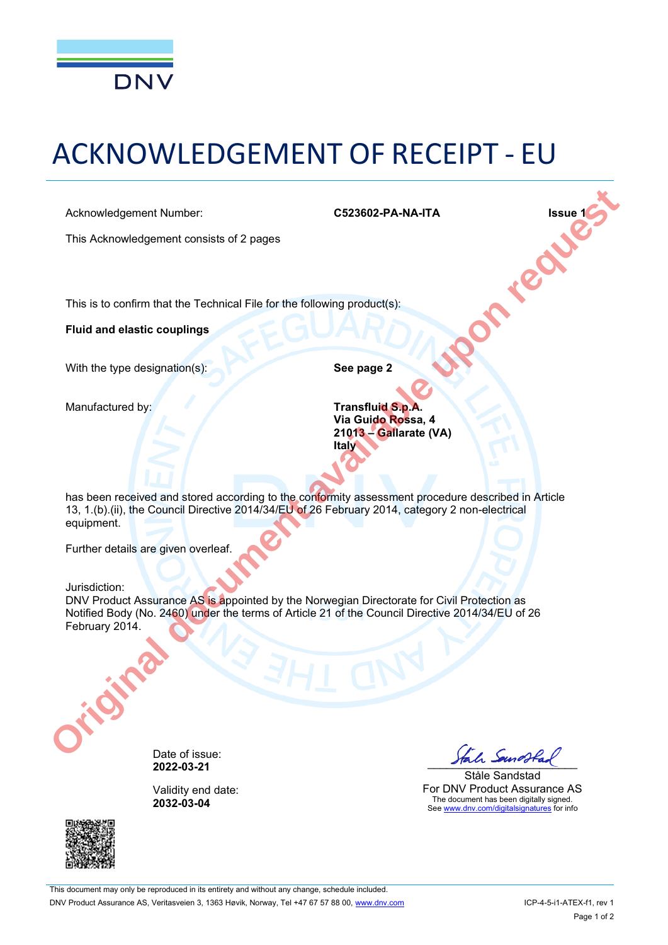

# ACKNOWLEDGEMENT OF RECEIPT - EU

This Acknowledgement consists of 2 pages

Acknowledgement Number:<br>
This Acknowledgement consists of 2 pages<br>
This is to confirm that the Technical File 1<br>
Fluid 1 This is to confirm that the Technical File for the following product(s):

**Fluid and elastic couplings**

With the type designation(s): **See page 2** 

Manufactured by: **Transfluid S.p.A. Via Guido Rossa, 4 21013 Gallarate (VA) Italy**

has been received and stored according to the conformity assessment procedure described in Article 13, 1.(b).(ii), the Council Directive 2014/34/EU of 26 February 2014, category 2 non-electrical equipment. Acknowledgement Number.<br>
This Acknowledgement consists of 2 pages<br>
The is to confirm that the Technical File for the following product(s):<br> **Fulld and elastic couplings**<br>
With the type designation(s):<br> **See page 2**<br>
Manufa

Further details are given overleaf.

#### Jurisdiction:

DNV Product Assurance AS is appointed by the Norwegian Directorate for Civil Protection as Notified Body (No. 2460) under the terms of Article 21 of the Council Directive 2014/34/EU of 26 February 2014.



Validity end date: **2032-03-04**



Ståle Sandstad For DNV Product Assurance AS The document has been digitally signed. See www.dnv.com/digitalsignatures for info